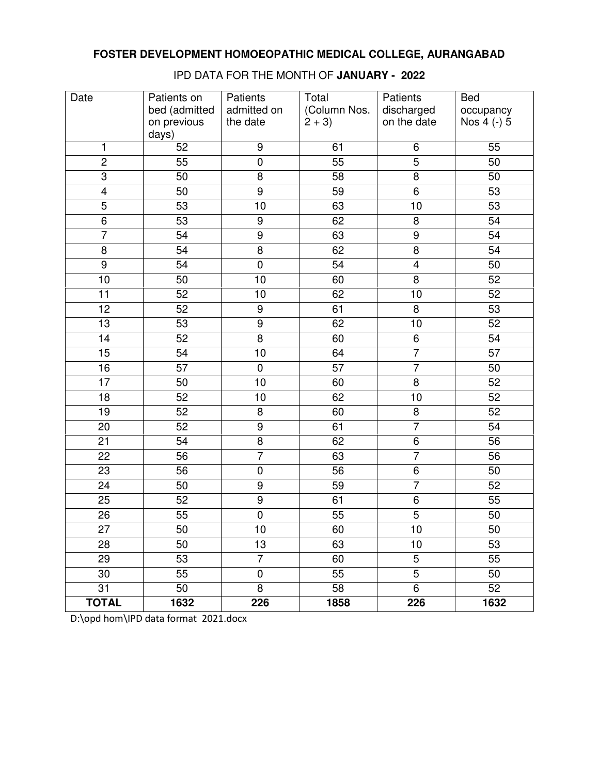| Date            | Patients on<br>bed (admitted | Patients<br>admitted on | Total<br>(Column Nos. | Patients<br>discharged<br>on the date | <b>Bed</b><br>occupancy |
|-----------------|------------------------------|-------------------------|-----------------------|---------------------------------------|-------------------------|
|                 | on previous<br>days)         | the date                | $2 + 3$               |                                       | Nos 4 (-) 5             |
| 1               | 52                           | $\boldsymbol{9}$        | 61                    | 6                                     | 55                      |
| $\overline{2}$  | 55                           | $\overline{0}$          | $\overline{55}$       | $\overline{5}$                        | 50                      |
| $\overline{3}$  | 50                           | $\overline{8}$          | 58                    | $\overline{8}$                        | 50                      |
| $\overline{4}$  | 50                           | $\overline{9}$          | 59                    | $\overline{6}$                        | 53                      |
| $\overline{5}$  | 53                           | 10                      | 63                    | 10                                    | 53                      |
| $\overline{6}$  | 53                           | $\boldsymbol{9}$        | 62                    | 8                                     | 54                      |
| $\overline{7}$  | 54                           | $\boldsymbol{9}$        | 63                    | $\boldsymbol{9}$                      | 54                      |
| $\bf 8$         | 54                           | 8                       | 62                    | 8                                     | 54                      |
| $\overline{9}$  | 54                           | $\boldsymbol{0}$        | 54                    | $\overline{\mathbf{4}}$               | 50                      |
| 10              | $\overline{50}$              | $\overline{10}$         | 60                    | $\overline{8}$                        | 52                      |
| $\overline{11}$ | 52                           | 10                      | 62                    | 10                                    | 52                      |
| $\overline{12}$ | 52                           | $\overline{9}$          | 61                    | 8                                     | 53                      |
| 13              | 53                           | $\overline{9}$          | 62                    | 10                                    | 52                      |
| $\overline{14}$ | 52                           | $\overline{8}$          | 60                    | $\overline{6}$                        | 54                      |
| 15              | 54                           | 10                      | 64                    | $\overline{7}$                        | 57                      |
| 16              | $\overline{57}$              | $\pmb{0}$               | $\overline{57}$       | $\overline{7}$                        | 50                      |
| 17              | 50                           | 10                      | 60                    | 8                                     | 52                      |
| $\overline{18}$ | 52                           | 10                      | 62                    | 10                                    | 52                      |
| 19              | 52                           | 8                       | 60                    | 8                                     | 52                      |
| 20              | 52                           | $\overline{9}$          | 61                    | $\overline{7}$                        | 54                      |
| 21              | 54                           | 8                       | 62                    | 6                                     | 56                      |
| 22              | 56                           | $\overline{7}$          | 63                    | $\overline{7}$                        | 56                      |
| 23              | 56                           | $\pmb{0}$               | 56                    | 6                                     | 50                      |
| 24              | 50                           | $\boldsymbol{9}$        | 59                    | $\overline{7}$                        | 52                      |
| 25              | 52                           | $\boldsymbol{9}$        | 61                    | 6                                     | 55                      |
| $\overline{26}$ | $\overline{55}$              | $\overline{0}$          | $\overline{55}$       | $\overline{5}$                        | 50                      |
| 27              | 50                           | 10                      | 60                    | 10                                    | 50                      |
| 28              | 50                           | 13                      | 63                    | 10                                    | 53                      |
| 29              | 53                           | $\overline{7}$          | 60                    | 5                                     | 55                      |
| 30              | 55                           | $\pmb{0}$               | 55                    | $\overline{5}$                        | 50                      |
| 31              | 50                           | 8                       | 58                    | 6                                     | 52                      |
| <b>TOTAL</b>    | 1632                         | 226                     | 1858                  | 226                                   | 1632                    |

IPD DATA FOR THE MONTH OF **JANUARY - 2022**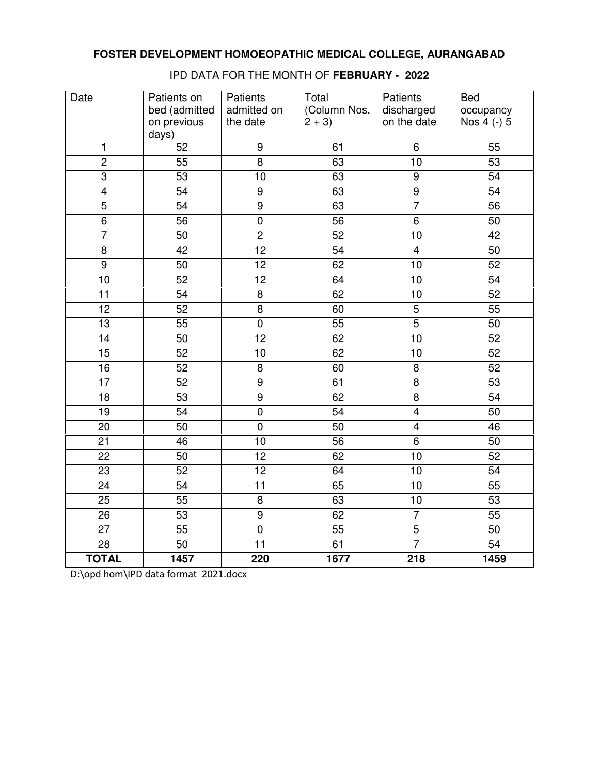| Date            | Patients on<br>bed (admitted<br>on previous<br>days) | Patients<br>admitted on<br>the date | Total<br>(Column Nos.<br>$2 + 3$ | Patients<br>discharged<br>on the date | <b>Bed</b><br>occupancy<br>Nos 4 (-) 5 |
|-----------------|------------------------------------------------------|-------------------------------------|----------------------------------|---------------------------------------|----------------------------------------|
| 1               | 52                                                   | $\boldsymbol{9}$                    | 61                               | 6                                     | 55                                     |
| $\overline{2}$  | $\overline{55}$                                      | $\overline{8}$                      | 63                               | 10                                    | $\overline{53}$                        |
| $\overline{3}$  | $\overline{53}$                                      | $\overline{10}$                     | 63                               | $\overline{9}$                        | 54                                     |
| $\overline{4}$  | $\overline{54}$                                      | $\overline{9}$                      | 63                               | $\overline{9}$                        | $\overline{54}$                        |
| $\overline{5}$  | $\overline{54}$                                      | $\overline{9}$                      | 63                               | $\overline{7}$                        | $\overline{56}$                        |
| $\overline{6}$  | $\overline{56}$                                      | $\overline{0}$                      | $\overline{56}$                  | $\overline{6}$                        | 50                                     |
| $\overline{7}$  | 50                                                   | $\overline{2}$                      | 52                               | 10                                    | 42                                     |
| $\overline{8}$  | 42                                                   | $\overline{12}$                     | $\overline{54}$                  | $\overline{4}$                        | 50                                     |
| $\overline{9}$  | 50                                                   | 12                                  | 62                               | 10                                    | $\overline{52}$                        |
| 10              | 52                                                   | $\overline{12}$                     | 64                               | 10                                    | 54                                     |
| $\overline{11}$ | 54                                                   | $\overline{8}$                      | 62                               | $\overline{10}$                       | 52                                     |
| 12              | 52                                                   | $\overline{8}$                      | 60                               | 5                                     | 55                                     |
| $\overline{13}$ | $\overline{55}$                                      | $\overline{0}$                      | $\overline{55}$                  | $\overline{5}$                        | $\overline{50}$                        |
| $\overline{14}$ | 50                                                   | $\overline{12}$                     | 62                               | 10                                    | $\overline{52}$                        |
| 15              | 52                                                   | 10                                  | 62                               | 10                                    | 52                                     |
| 16              | 52                                                   | $\overline{8}$                      | 60                               | $\overline{8}$                        | 52                                     |
| $\overline{17}$ | 52                                                   | $\overline{9}$                      | 61                               | 8                                     | $\overline{53}$                        |
| $\overline{18}$ | $\overline{53}$                                      | $\overline{9}$                      | 62                               | $\overline{8}$                        | 54                                     |
| $\overline{19}$ | 54                                                   | $\overline{0}$                      | 54                               | $\overline{4}$                        | 50                                     |
| 20              | 50                                                   | $\mathbf 0$                         | $\overline{50}$                  | $\overline{4}$                        | 46                                     |
| $\overline{21}$ | 46                                                   | $\overline{10}$                     | $\overline{56}$                  | $\overline{6}$                        | $\overline{50}$                        |
| $\overline{22}$ | 50                                                   | 12                                  | 62                               | $\overline{10}$                       | 52                                     |
| 23              | 52                                                   | 12                                  | 64                               | 10                                    | 54                                     |
| $\overline{24}$ | 54                                                   | $\overline{11}$                     | 65                               | $\overline{10}$                       | $\overline{55}$                        |
| 25              | 55                                                   | 8                                   | 63                               | 10                                    | 53                                     |
| $\overline{26}$ | $\overline{53}$                                      | $\overline{9}$                      | 62                               | $\overline{7}$                        | 55                                     |
| $\overline{27}$ | $\overline{55}$                                      | $\overline{0}$                      | $\overline{55}$                  | $\overline{5}$                        | $\overline{50}$                        |
| $\overline{28}$ | $\overline{50}$                                      | $\overline{11}$                     | 61                               | $\overline{7}$                        | $\overline{54}$                        |
| <b>TOTAL</b>    | 1457                                                 | 220                                 | 1677                             | $\overline{218}$                      | 1459                                   |

IPD DATA FOR THE MONTH OF **FEBRUARY - 2022**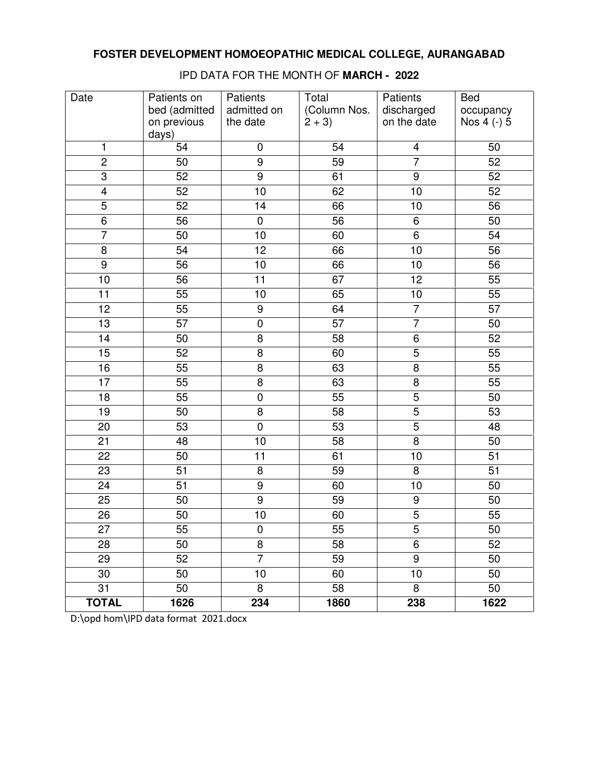| Date            | Patients on<br>bed (admitted | Patients<br>admitted on | Total<br>(Column Nos. | Patients<br>discharged | <b>Bed</b><br>occupancy |
|-----------------|------------------------------|-------------------------|-----------------------|------------------------|-------------------------|
|                 | on previous<br>days)         | the date                | $2 + 3$               | on the date            | Nos 4 (-) 5             |
| 1               | 54                           | $\pmb{0}$               | 54                    | 4                      | 50                      |
| $\overline{2}$  | 50                           | $\overline{9}$          | $\overline{59}$       | $\overline{7}$         | 52                      |
| $\overline{3}$  | 52                           | $\overline{9}$          | 61                    | $\overline{9}$         | 52                      |
| $\overline{4}$  | 52                           | $\overline{10}$         | 62                    | 10                     | 52                      |
| $\overline{5}$  | 52                           | 14                      | 66                    | 10                     | 56                      |
| $\overline{6}$  | 56                           | $\pmb{0}$               | 56                    | 6                      | 50                      |
| $\overline{7}$  | 50                           | 10                      | 60                    | 6                      | 54                      |
| 8               | 54                           | 12                      | 66                    | 10                     | 56                      |
| $\overline{9}$  | 56                           | 10                      | 66                    | 10                     | 56                      |
| 10              | 56                           | $\overline{11}$         | 67                    | $\overline{12}$        | $\overline{55}$         |
| 11              | 55                           | 10                      | 65                    | 10                     | $\overline{55}$         |
| 12              | 55                           | $\boldsymbol{9}$        | 64                    | $\overline{7}$         | 57                      |
| 13              | 57                           | $\pmb{0}$               | 57                    | $\overline{7}$         | 50                      |
| 14              | 50                           | 8                       | 58                    | $\overline{6}$         | 52                      |
| 15              | 52                           | 8                       | 60                    | 5                      | 55                      |
| 16              | 55                           | 8                       | 63                    | $\overline{8}$         | 55                      |
| 17              | 55                           | 8                       | 63                    | 8                      | 55                      |
| $\overline{18}$ | $\overline{55}$              | $\overline{0}$          | $\overline{55}$       | $\overline{5}$         | $\overline{50}$         |
| $\overline{19}$ | 50                           | $\overline{8}$          | $\overline{58}$       | $\overline{5}$         | 53                      |
| 20              | 53                           | $\overline{0}$          | $\overline{53}$       | $\overline{5}$         | 48                      |
| 21              | 48                           | 10                      | 58                    | $\overline{8}$         | 50                      |
| 22              | 50                           | 11                      | 61                    | 10                     | 51                      |
| 23              | 51                           | 8                       | 59                    | 8                      | 51                      |
| 24              | 51                           | $\overline{9}$          | 60                    | 10                     | 50                      |
| 25              | 50                           | $\overline{9}$          | 59                    | $\boldsymbol{9}$       | 50                      |
| $\overline{26}$ | $\overline{50}$              | 10                      | 60                    | $\overline{5}$         | $\overline{55}$         |
| 27              | 55                           | $\pmb{0}$               | 55                    | 5                      | 50                      |
| 28              | 50                           | 8                       | 58                    | 6                      | 52                      |
| 29              | 52                           | $\overline{7}$          | 59                    | 9                      | 50                      |
| 30              | 50                           | 10                      | 60                    | 10                     | 50                      |
| 31              | 50                           | 8                       | 58                    | 8                      | 50                      |
| <b>TOTAL</b>    | 1626                         | 234                     | 1860                  | 238                    | 1622                    |

IPD DATA FOR THE MONTH OF **MARCH - 2022**